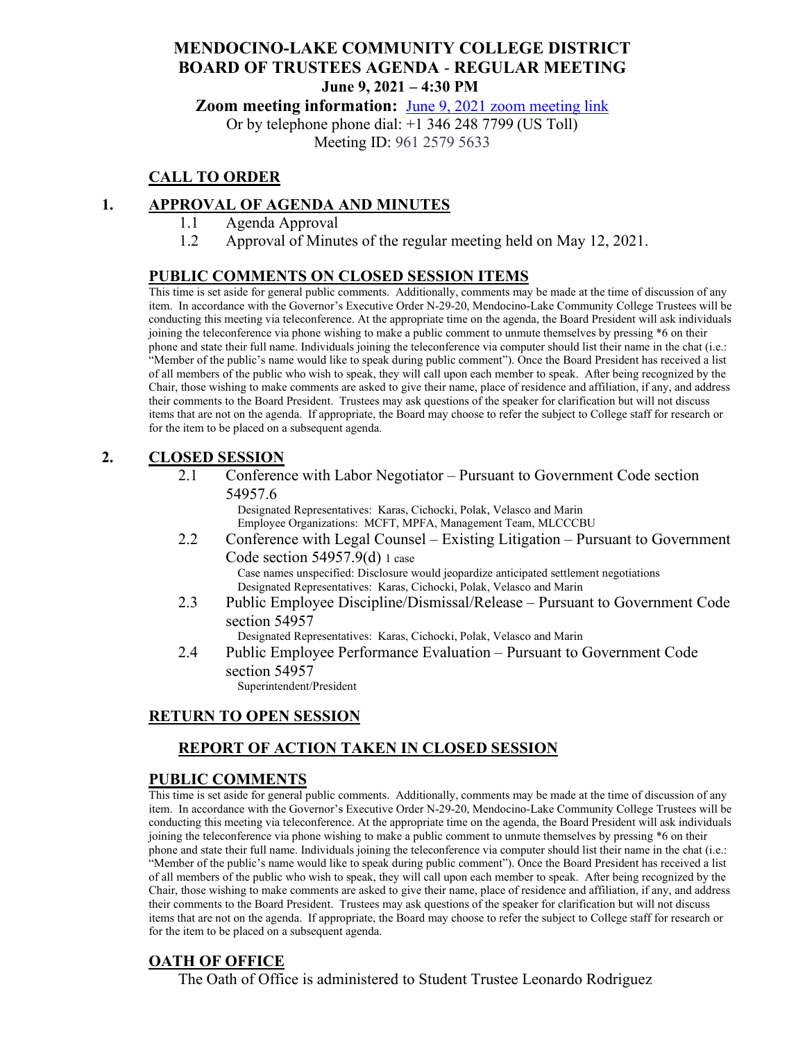### **MENDOCINO-LAKE COMMUNITY COLLEGE DISTRICT BOARD OF TRUSTEES AGENDA** - **REGULAR MEETING June 9, 2021 – 4:30 PM**

**Zoom meeting information:** June 9, 2021 [zoom meeting link](https://cccconfer.zoom.us/s/96125795633)

Or by telephone phone dial: +1 346 248 7799 (US Toll) Meeting ID: 961 2579 5633

### **CALL TO ORDER**

### **1. APPROVAL OF AGENDA AND MINUTES**

- 1.1 Agenda Approval
- 1.2 Approval of Minutes of the regular meeting held on May 12, 2021.

#### **PUBLIC COMMENTS ON CLOSED SESSION ITEMS**

This time is set aside for general public comments. Additionally, comments may be made at the time of discussion of any item. In accordance with the Governor's Executive Order N-29-20, Mendocino-Lake Community College Trustees will be conducting this meeting via teleconference. At the appropriate time on the agenda, the Board President will ask individuals joining the teleconference via phone wishing to make a public comment to unmute themselves by pressing \*6 on their phone and state their full name. Individuals joining the teleconference via computer should list their name in the chat (i.e.: "Member of the public's name would like to speak during public comment"). Once the Board President has received a list of all members of the public who wish to speak, they will call upon each member to speak. After being recognized by the Chair, those wishing to make comments are asked to give their name, place of residence and affiliation, if any, and address their comments to the Board President. Trustees may ask questions of the speaker for clarification but will not discuss items that are not on the agenda. If appropriate, the Board may choose to refer the subject to College staff for research or for the item to be placed on a subsequent agenda.

#### **2. CLOSED SESSION**

2.1 Conference with Labor Negotiator – Pursuant to Government Code section 54957.6

Designated Representatives: Karas, Cichocki, Polak, Velasco and Marin Employee Organizations: MCFT, MPFA, Management Team, MLCCCBU

2.2 Conference with Legal Counsel – Existing Litigation – Pursuant to Government Code section 54957.9(d) 1 case Case names unspecified: Disclosure would jeopardize anticipated settlement negotiations

Designated Representatives: Karas, Cichocki, Polak, Velasco and Marin

2.3 Public Employee Discipline/Dismissal/Release – Pursuant to Government Code section 54957

Designated Representatives: Karas, Cichocki, Polak, Velasco and Marin

2.4 Public Employee Performance Evaluation – Pursuant to Government Code section 54957

Superintendent/President

#### **RETURN TO OPEN SESSION**

### **REPORT OF ACTION TAKEN IN CLOSED SESSION**

### **PUBLIC COMMENTS**

This time is set aside for general public comments. Additionally, comments may be made at the time of discussion of any item. In accordance with the Governor's Executive Order N-29-20, Mendocino-Lake Community College Trustees will be conducting this meeting via teleconference. At the appropriate time on the agenda, the Board President will ask individuals joining the teleconference via phone wishing to make a public comment to unmute themselves by pressing \*6 on their phone and state their full name. Individuals joining the teleconference via computer should list their name in the chat (i.e.: "Member of the public's name would like to speak during public comment"). Once the Board President has received a list of all members of the public who wish to speak, they will call upon each member to speak. After being recognized by the Chair, those wishing to make comments are asked to give their name, place of residence and affiliation, if any, and address their comments to the Board President. Trustees may ask questions of the speaker for clarification but will not discuss items that are not on the agenda. If appropriate, the Board may choose to refer the subject to College staff for research or for the item to be placed on a subsequent agenda.

### **OATH OF OFFICE**

The Oath of Office is administered to Student Trustee Leonardo Rodriguez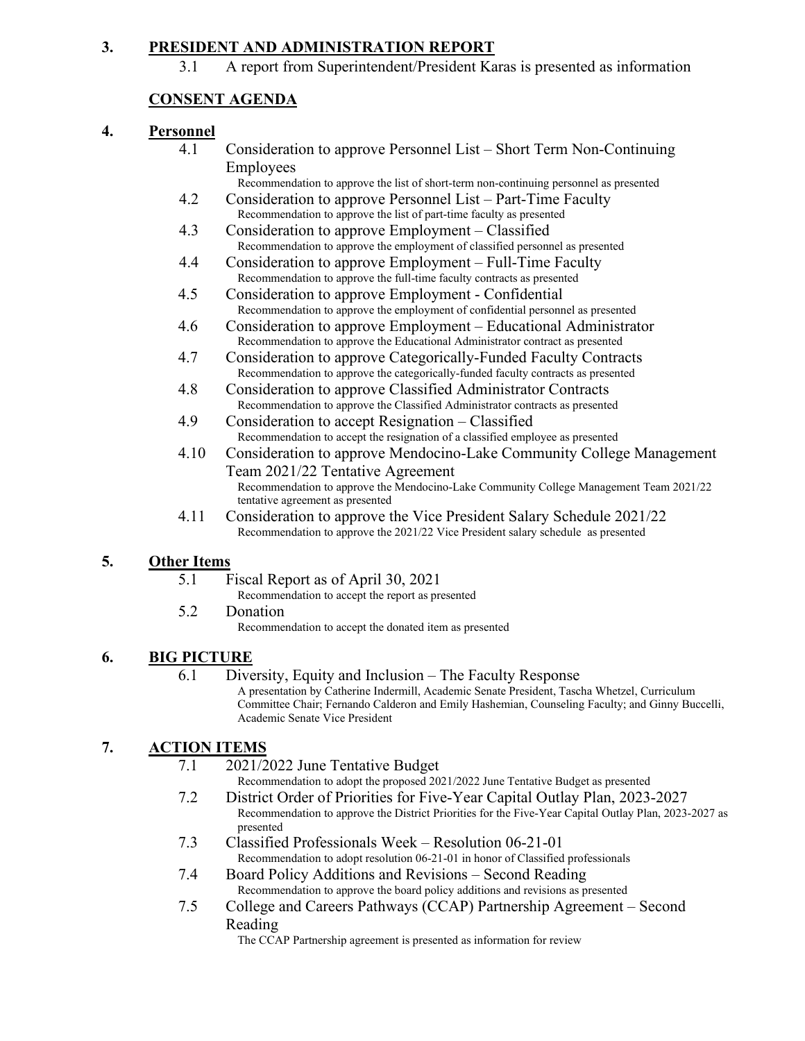### **3. PRESIDENT AND ADMINISTRATION REPORT**

3.1 A report from Superintendent/President Karas is presented as information

## **CONSENT AGENDA**

### **4. Personnel**

- 4.1 Consideration to approve Personnel List Short Term Non-Continuing Employees
	- Recommendation to approve the list of short-term non-continuing personnel as presented
- 4.2 Consideration to approve Personnel List Part-Time Faculty Recommendation to approve the list of part-time faculty as presented
- 4.3 Consideration to approve Employment Classified Recommendation to approve the employment of classified personnel as presented
- 4.4 Consideration to approve Employment Full-Time Faculty Recommendation to approve the full-time faculty contracts as presented
- 4.5 Consideration to approve Employment Confidential Recommendation to approve the employment of confidential personnel as presented
- 4.6 Consideration to approve Employment Educational Administrator Recommendation to approve the Educational Administrator contract as presented
- 4.7 Consideration to approve Categorically-Funded Faculty Contracts Recommendation to approve the categorically-funded faculty contracts as presented
- 4.8 Consideration to approve Classified Administrator Contracts Recommendation to approve the Classified Administrator contracts as presented
- 4.9 Consideration to accept Resignation Classified Recommendation to accept the resignation of a classified employee as presented
- 4.10 Consideration to approve Mendocino-Lake Community College Management Team 2021/22 Tentative Agreement Recommendation to approve the Mendocino-Lake Community College Management Team 2021/22 tentative agreement as presented
- 4.11 Consideration to approve the Vice President Salary Schedule 2021/22 Recommendation to approve the 2021/22 Vice President salary schedule as presented

### **5. Other Items**

- 5.1 Fiscal Report as of April 30, 2021
	- Recommendation to accept the report as presented
- 5.2 Donation Recommendation to accept the donated item as presented

### **6. BIG PICTURE**

6.1 Diversity, Equity and Inclusion – The Faculty Response A presentation by Catherine Indermill, Academic Senate President, Tascha Whetzel, Curriculum Committee Chair; Fernando Calderon and Emily Hashemian, Counseling Faculty; and Ginny Buccelli, Academic Senate Vice President

# **7. ACTION ITEMS**

7.1 2021/2022 June Tentative Budget

Recommendation to adopt the proposed 2021/2022 June Tentative Budget as presented

- 7.2 District Order of Priorities for Five-Year Capital Outlay Plan, 2023-2027 Recommendation to approve the District Priorities for the Five-Year Capital Outlay Plan, 2023-2027 as presented
- 7.3 Classified Professionals Week Resolution 06-21-01 Recommendation to adopt resolution 06-21-01 in honor of Classified professionals
- 7.4 Board Policy Additions and Revisions Second Reading Recommendation to approve the board policy additions and revisions as presented
- 7.5 College and Careers Pathways (CCAP) Partnership Agreement Second Reading

The CCAP Partnership agreement is presented as information for review